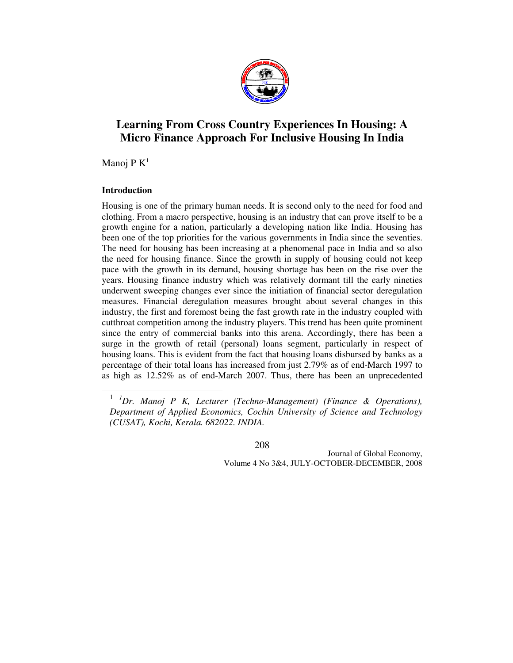

# **Learning From Cross Country Experiences In Housing: A Micro Finance Approach For Inclusive Housing In India**

Manoj P $K^1$ 

# **Introduction**

 $\overline{a}$ 

Housing is one of the primary human needs. It is second only to the need for food and clothing. From a macro perspective, housing is an industry that can prove itself to be a growth engine for a nation, particularly a developing nation like India. Housing has been one of the top priorities for the various governments in India since the seventies. The need for housing has been increasing at a phenomenal pace in India and so also the need for housing finance. Since the growth in supply of housing could not keep pace with the growth in its demand, housing shortage has been on the rise over the years. Housing finance industry which was relatively dormant till the early nineties underwent sweeping changes ever since the initiation of financial sector deregulation measures. Financial deregulation measures brought about several changes in this industry, the first and foremost being the fast growth rate in the industry coupled with cutthroat competition among the industry players. This trend has been quite prominent since the entry of commercial banks into this arena. Accordingly, there has been a surge in the growth of retail (personal) loans segment, particularly in respect of housing loans. This is evident from the fact that housing loans disbursed by banks as a percentage of their total loans has increased from just 2.79% as of end-March 1997 to as high as 12.52% as of end-March 2007. Thus, there has been an unprecedented

208

<sup>1</sup> *<sup>1</sup>Dr. Manoj P K, Lecturer (Techno-Management) (Finance & Operations), Department of Applied Economics, Cochin University of Science and Technology (CUSAT), Kochi, Kerala. 682022. INDIA.*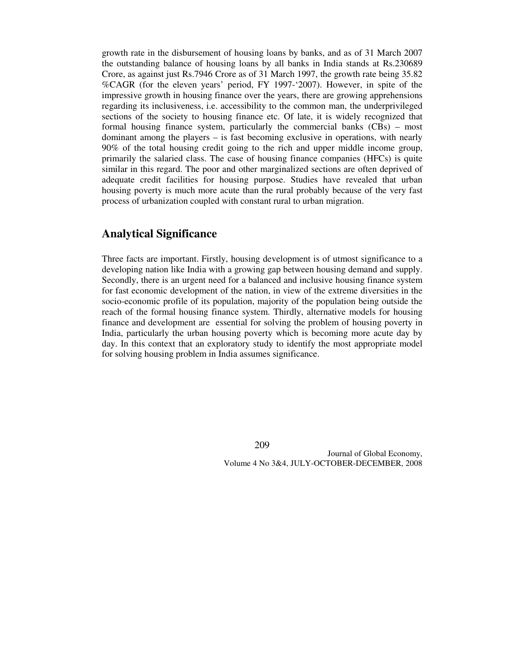growth rate in the disbursement of housing loans by banks, and as of 31 March 2007 the outstanding balance of housing loans by all banks in India stands at Rs.230689 Crore, as against just Rs.7946 Crore as of 31 March 1997, the growth rate being 35.82 %CAGR (for the eleven years' period, FY 1997-'2007). However, in spite of the impressive growth in housing finance over the years, there are growing apprehensions regarding its inclusiveness, i.e. accessibility to the common man, the underprivileged sections of the society to housing finance etc. Of late, it is widely recognized that formal housing finance system, particularly the commercial banks (CBs) – most dominant among the players – is fast becoming exclusive in operations, with nearly 90% of the total housing credit going to the rich and upper middle income group, primarily the salaried class. The case of housing finance companies (HFCs) is quite similar in this regard. The poor and other marginalized sections are often deprived of adequate credit facilities for housing purpose. Studies have revealed that urban housing poverty is much more acute than the rural probably because of the very fast process of urbanization coupled with constant rural to urban migration.

# **Analytical Significance**

Three facts are important. Firstly, housing development is of utmost significance to a developing nation like India with a growing gap between housing demand and supply. Secondly, there is an urgent need for a balanced and inclusive housing finance system for fast economic development of the nation, in view of the extreme diversities in the socio-economic profile of its population, majority of the population being outside the reach of the formal housing finance system. Thirdly, alternative models for housing finance and development are essential for solving the problem of housing poverty in India, particularly the urban housing poverty which is becoming more acute day by day. In this context that an exploratory study to identify the most appropriate model for solving housing problem in India assumes significance.

209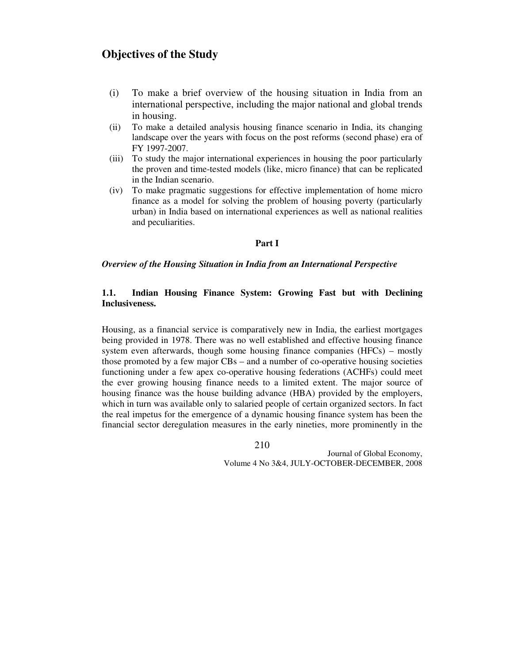# **Objectives of the Study**

- (i) To make a brief overview of the housing situation in India from an international perspective, including the major national and global trends in housing.
- (ii) To make a detailed analysis housing finance scenario in India, its changing landscape over the years with focus on the post reforms (second phase) era of FY 1997-2007.
- (iii) To study the major international experiences in housing the poor particularly the proven and time-tested models (like, micro finance) that can be replicated in the Indian scenario.
- (iv) To make pragmatic suggestions for effective implementation of home micro finance as a model for solving the problem of housing poverty (particularly urban) in India based on international experiences as well as national realities and peculiarities.

### **Part I**

### *Overview of the Housing Situation in India from an International Perspective*

# **1.1. Indian Housing Finance System: Growing Fast but with Declining Inclusiveness.**

Housing, as a financial service is comparatively new in India, the earliest mortgages being provided in 1978. There was no well established and effective housing finance system even afterwards, though some housing finance companies (HFCs) – mostly those promoted by a few major CBs – and a number of co-operative housing societies functioning under a few apex co-operative housing federations (ACHFs) could meet the ever growing housing finance needs to a limited extent. The major source of housing finance was the house building advance (HBA) provided by the employers, which in turn was available only to salaried people of certain organized sectors. In fact the real impetus for the emergence of a dynamic housing finance system has been the financial sector deregulation measures in the early nineties, more prominently in the

210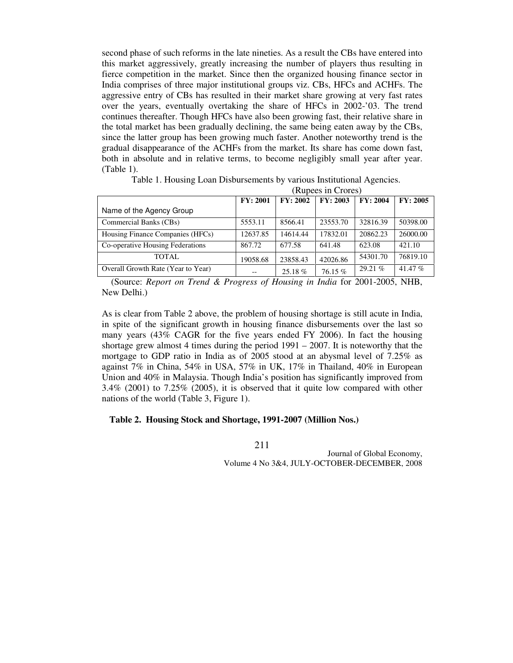second phase of such reforms in the late nineties. As a result the CBs have entered into this market aggressively, greatly increasing the number of players thus resulting in fierce competition in the market. Since then the organized housing finance sector in India comprises of three major institutional groups viz. CBs, HFCs and ACHFs. The aggressive entry of CBs has resulted in their market share growing at very fast rates over the years, eventually overtaking the share of HFCs in 2002-'03. The trend continues thereafter. Though HFCs have also been growing fast, their relative share in the total market has been gradually declining, the same being eaten away by the CBs, since the latter group has been growing much faster. Another noteworthy trend is the gradual disappearance of the ACHFs from the market. Its share has come down fast, both in absolute and in relative terms, to become negligibly small year after year. (Table 1).

|                                    | (Rupees in Crores) |          |          |                 |           |  |  |  |
|------------------------------------|--------------------|----------|----------|-----------------|-----------|--|--|--|
|                                    | FY: 2001           | FY: 2002 | FY: 2003 | <b>FY: 2004</b> | FY: 2005  |  |  |  |
| Name of the Agency Group           |                    |          |          |                 |           |  |  |  |
| Commercial Banks (CBs)             | 5553.11            | 8566.41  | 23553.70 | 32816.39        | 50398.00  |  |  |  |
| Housing Finance Companies (HFCs)   | 12637.85           | 14614.44 | 17832.01 | 20862.23        | 26000.00  |  |  |  |
| Co-operative Housing Federations   | 867.72             | 677.58   | 641.48   | 623.08          | 421.10    |  |  |  |
| TOTAL.                             | 19058.68           | 23858.43 | 42026.86 | 54301.70        | 76819.10  |  |  |  |
| Overall Growth Rate (Year to Year) | $- -$              | 25.18%   | 76.15%   | 29.21%          | 41.47 $%$ |  |  |  |

Table 1. Housing Loan Disbursements by various Institutional Agencies.

 (Source: *Report on Trend & Progress of Housing in India* for 2001-2005, NHB, New Delhi.)

As is clear from Table 2 above, the problem of housing shortage is still acute in India, in spite of the significant growth in housing finance disbursements over the last so many years (43% CAGR for the five years ended FY 2006). In fact the housing shortage grew almost 4 times during the period 1991 – 2007. It is noteworthy that the mortgage to GDP ratio in India as of 2005 stood at an abysmal level of 7.25% as against 7% in China, 54% in USA, 57% in UK, 17% in Thailand, 40% in European Union and 40% in Malaysia. Though India's position has significantly improved from 3.4% (2001) to 7.25% (2005), it is observed that it quite low compared with other nations of the world (Table 3, Figure 1).

#### **Table 2. Housing Stock and Shortage, 1991-2007 (Million Nos.)**

211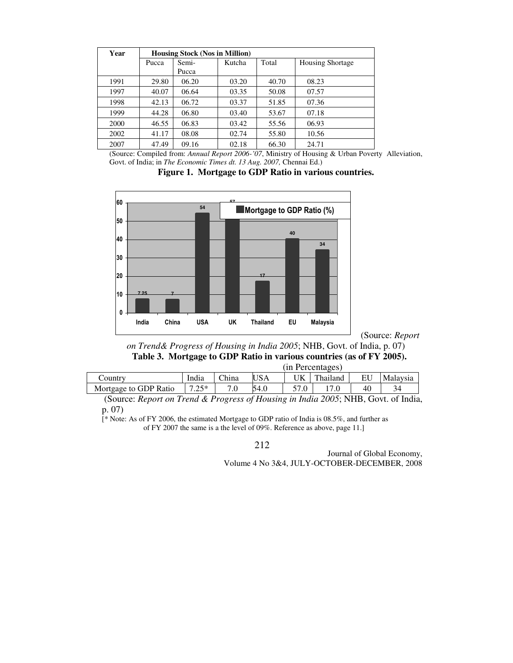| Year | <b>Housing Stock (Nos in Million)</b> |       |        |       |                         |  |  |  |  |
|------|---------------------------------------|-------|--------|-------|-------------------------|--|--|--|--|
|      | Pucca                                 | Semi- | Kutcha | Total | <b>Housing Shortage</b> |  |  |  |  |
|      |                                       | Pucca |        |       |                         |  |  |  |  |
| 1991 | 29.80                                 | 06.20 | 03.20  | 40.70 | 08.23                   |  |  |  |  |
| 1997 | 40.07                                 | 06.64 | 03.35  | 50.08 | 07.57                   |  |  |  |  |
| 1998 | 42.13                                 | 06.72 | 03.37  | 51.85 | 07.36                   |  |  |  |  |
| 1999 | 44.28                                 | 06.80 | 03.40  | 53.67 | 07.18                   |  |  |  |  |
| 2000 | 46.55                                 | 06.83 | 03.42  | 55.56 | 06.93                   |  |  |  |  |
| 2002 | 41.17                                 | 08.08 | 02.74  | 55.80 | 10.56                   |  |  |  |  |
| 2007 | 47.49                                 | 09.16 | 02.18  | 66.30 | 24.71                   |  |  |  |  |

(Source: Compiled from: *Annual Report 2006-'07*, Ministry of Housing & Urban Poverty Alleviation, Govt. of India; in *The Economic Times dt. 13 Aug. 2007,* Chennai Ed.)

**Figure 1. Mortgage to GDP Ratio in various countries.** 



(Source: *Report* 

*on Trend& Progress of Housing in India 2005*; NHB, Govt. of India, p. 07) **Table 3. Mortgage to GDP Ratio in various countries (as of FY 2005).**   $(in$  Percentages)

|                       | пи генешачел |              |            |     |          |    |          |
|-----------------------|--------------|--------------|------------|-----|----------|----|----------|
| Country               | India        | <b>China</b> | <b>USA</b> | 'JK | Thailand | EU | Malaysia |
| Mortgage to GDP Ratio | つく*          |              | 54.0       |     |          | 40 | 34       |

 (Source: *Report on Trend & Progress of Housing in India 2005*; NHB, Govt. of India, p. 07)

[\* Note: As of FY 2006, the estimated Mortgage to GDP ratio of India is 08.5%, and further as of FY 2007 the same is a the level of 09%. Reference as above, page 11.]

212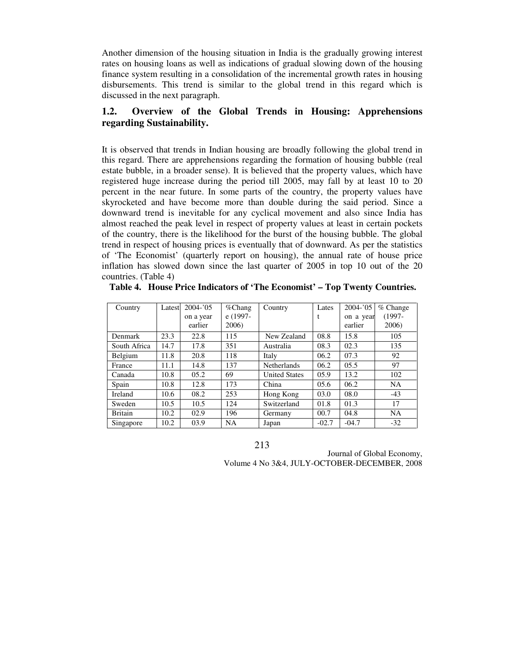Another dimension of the housing situation in India is the gradually growing interest rates on housing loans as well as indications of gradual slowing down of the housing finance system resulting in a consolidation of the incremental growth rates in housing disbursements. This trend is similar to the global trend in this regard which is discussed in the next paragraph.

# **1.2. Overview of the Global Trends in Housing: Apprehensions regarding Sustainability.**

It is observed that trends in Indian housing are broadly following the global trend in this regard. There are apprehensions regarding the formation of housing bubble (real estate bubble, in a broader sense). It is believed that the property values, which have registered huge increase during the period till 2005, may fall by at least 10 to 20 percent in the near future. In some parts of the country, the property values have skyrocketed and have become more than double during the said period. Since a downward trend is inevitable for any cyclical movement and also since India has almost reached the peak level in respect of property values at least in certain pockets of the country, there is the likelihood for the burst of the housing bubble. The global trend in respect of housing prices is eventually that of downward. As per the statistics of 'The Economist' (quarterly report on housing), the annual rate of house price inflation has slowed down since the last quarter of 2005 in top 10 out of the 20 countries. (Table 4)

| Country        | Latest | $2004 - 05$<br>on a year<br>earlier | $\%$ Chang<br>e (1997-<br>2006) | Country              | Lates<br>t | $2004 - 05$<br>on a year<br>earlier | $%$ Change<br>$(1997 -$<br>2006) |
|----------------|--------|-------------------------------------|---------------------------------|----------------------|------------|-------------------------------------|----------------------------------|
| Denmark        | 23.3   | 22.8                                | 115                             | New Zealand          | 08.8       | 15.8                                | 105                              |
| South Africa   | 14.7   | 17.8                                | 351                             | Australia            | 08.3       | 02.3                                | 135                              |
| Belgium        | 11.8   | 20.8                                | 118                             | Italy                | 06.2       | 07.3                                | 92                               |
| France         | 11.1   | 14.8                                | 137                             | <b>Netherlands</b>   | 06.2       | 05.5                                | 97                               |
| Canada         | 10.8   | 05.2                                | 69                              | <b>United States</b> | 05.9       | 13.2                                | 102                              |
| Spain          | 10.8   | 12.8                                | 173                             | China                | 05.6       | 06.2                                | <b>NA</b>                        |
| Ireland        | 10.6   | 08.2                                | 253                             | Hong Kong            | 03.0       | 08.0                                | $-43$                            |
| Sweden         | 10.5   | 10.5                                | 124                             | Switzerland          | 01.8       | 01.3                                | 17                               |
| <b>Britain</b> | 10.2   | 02.9                                | 196                             | Germany              | 00.7       | 04.8                                | <b>NA</b>                        |
| Singapore      | 10.2   | 03.9                                | <b>NA</b>                       | Japan                | $-02.7$    | $-04.7$                             | $-32$                            |

**Table 4. House Price Indicators of 'The Economist' – Top Twenty Countries.** 

213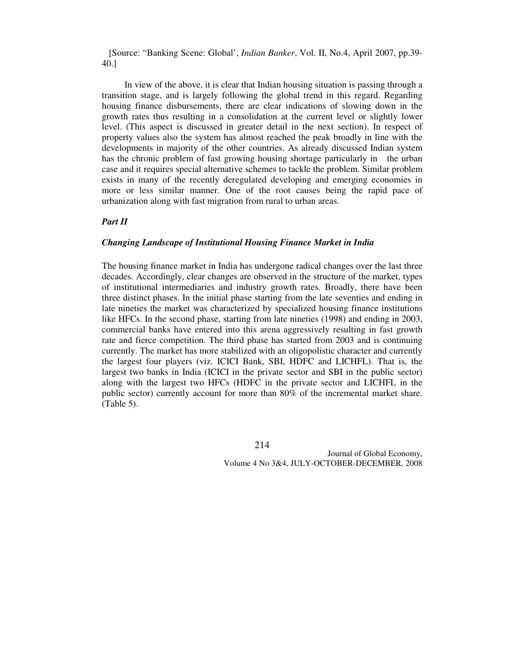[Source: "Banking Scene: Global', *Indian Banker*, Vol. II, No.4, April 2007, pp.39- 40.]

In view of the above, it is clear that Indian housing situation is passing through a transition stage, and is largely following the global trend in this regard. Regarding housing finance disbursements, there are clear indications of slowing down in the growth rates thus resulting in a consolidation at the current level or slightly lower level. (This aspect is discussed in greater detail in the next section). In respect of property values also the system has almost reached the peak broadly in line with the developments in majority of the other countries. As already discussed Indian system has the chronic problem of fast growing housing shortage particularly in the urban case and it requires special alternative schemes to tackle the problem. Similar problem exists in many of the recently deregulated developing and emerging economies in more or less similar manner. One of the root causes being the rapid pace of urbanization along with fast migration from rural to urban areas.

### *Part II*

#### *Changing Landscape of Institutional Housing Finance Market in India*

The housing finance market in India has undergone radical changes over the last three decades. Accordingly, clear changes are observed in the structure of the market, types of institutional intermediaries and industry growth rates. Broadly, there have been three distinct phases. In the initial phase starting from the late seventies and ending in late nineties the market was characterized by specialized housing finance institutions like HFCs. In the second phase, starting from late nineties (1998) and ending in 2003, commercial banks have entered into this arena aggressively resulting in fast growth rate and fierce competition. The third phase has started from 2003 and is continuing currently. The market has more stabilized with an oligopolistic character and currently the largest four players (viz. ICICI Bank, SBI, HDFC and LICHFL). That is, the largest two banks in India (ICICI in the private sector and SBI in the public sector) along with the largest two HFCs (HDFC in the private sector and LICHFL in the public sector) currently account for more than 80% of the incremental market share. (Table 5).

214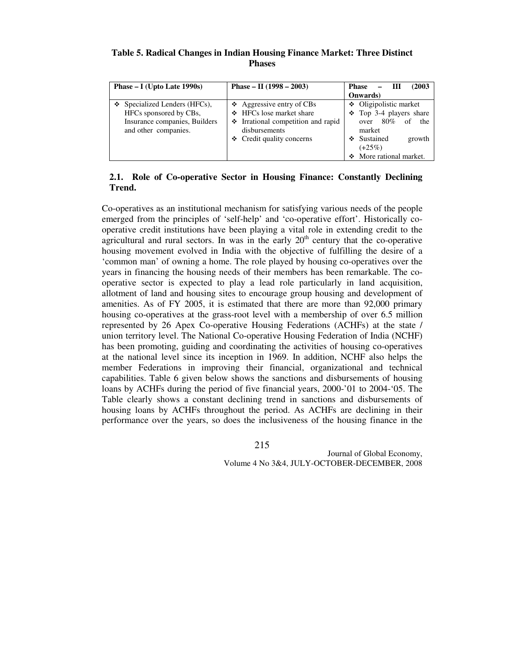### **Table 5. Radical Changes in Indian Housing Finance Market: Three Distinct Phases**

| Phase $- I$ (Upto Late 1990s)                                                                                         | Phase – II $(1998 - 2003)$                                                                                                                            | (2003<br>Phase<br>- 111<br>—<br><b>Onwards</b> )                                                                                                        |
|-----------------------------------------------------------------------------------------------------------------------|-------------------------------------------------------------------------------------------------------------------------------------------------------|---------------------------------------------------------------------------------------------------------------------------------------------------------|
| $\div$ Specialized Lenders (HFCs),<br>HFCs sponsored by CBs,<br>Insurance companies, Builders<br>and other companies. | $\triangle$ Aggressive entry of CBs<br>❖ HFCs lose market share<br>Trational competition and rapid<br>disbursements<br>$\div$ Credit quality concerns | ❖ Oligipolistic market<br>$\div$ Top 3-4 players share<br>over $80\%$ of<br>the<br>market<br>❖ Sustained<br>growth<br>$(+25%)$<br>More rational market. |

# **2.1. Role of Co-operative Sector in Housing Finance: Constantly Declining Trend.**

Co-operatives as an institutional mechanism for satisfying various needs of the people emerged from the principles of 'self-help' and 'co-operative effort'. Historically cooperative credit institutions have been playing a vital role in extending credit to the agricultural and rural sectors. In was in the early  $20<sup>th</sup>$  century that the co-operative housing movement evolved in India with the objective of fulfilling the desire of a 'common man' of owning a home. The role played by housing co-operatives over the years in financing the housing needs of their members has been remarkable. The cooperative sector is expected to play a lead role particularly in land acquisition, allotment of land and housing sites to encourage group housing and development of amenities. As of FY 2005, it is estimated that there are more than 92,000 primary housing co-operatives at the grass-root level with a membership of over 6.5 million represented by 26 Apex Co-operative Housing Federations (ACHFs) at the state / union territory level. The National Co-operative Housing Federation of India (NCHF) has been promoting, guiding and coordinating the activities of housing co-operatives at the national level since its inception in 1969. In addition, NCHF also helps the member Federations in improving their financial, organizational and technical capabilities. Table 6 given below shows the sanctions and disbursements of housing loans by ACHFs during the period of five financial years, 2000-'01 to 2004-'05. The Table clearly shows a constant declining trend in sanctions and disbursements of housing loans by ACHFs throughout the period. As ACHFs are declining in their performance over the years, so does the inclusiveness of the housing finance in the

215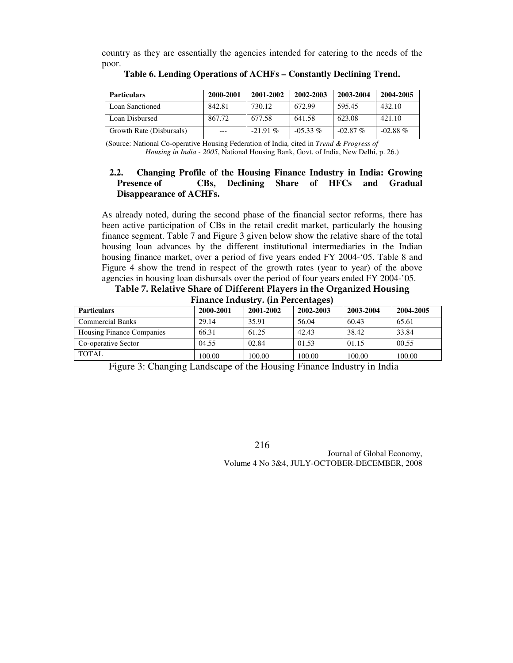country as they are essentially the agencies intended for catering to the needs of the poor.

| <b>Particulars</b>       | 2000-2001 | 2001-2002  | 2002-2003  | 2003-2004  | 2004-2005  |
|--------------------------|-----------|------------|------------|------------|------------|
| Loan Sanctioned          | 842.81    | 730.12     | 672.99     | 595.45     | 432.10     |
| Loan Disbursed           | 867.72    | 677.58     | 641.58     | 623.08     | 421.10     |
| Growth Rate (Disbursals) | $---$     | $-21.91\%$ | $-0.533\%$ | $-02.87\%$ | $-02.88\%$ |

**Table 6. Lending Operations of ACHFs – Constantly Declining Trend.** 

 (Source: National Co-operative Housing Federation of India*,* cited in *Trend & Progress of Housing in India - 2005*, National Housing Bank, Govt. of India, New Delhi, p. 26.)

# **2.2. Changing Profile of the Housing Finance Industry in India: Growing Presence of CBs, Declining Share of HFCs and Gradual Disappearance of ACHFs.**

As already noted, during the second phase of the financial sector reforms, there has been active participation of CBs in the retail credit market, particularly the housing finance segment. Table 7 and Figure 3 given below show the relative share of the total housing loan advances by the different institutional intermediaries in the Indian housing finance market, over a period of five years ended FY 2004-'05. Table 8 and Figure 4 show the trend in respect of the growth rates (year to year) of the above agencies in housing loan disbursals over the period of four years ended FY 2004-'05.

Table 7. Relative Share of Different Players in the Organized Housing Finance Industry. (in Percentages)

| THRIRG HRAGGI II (HR F GEGERING CO |           |           |           |           |           |  |  |  |  |
|------------------------------------|-----------|-----------|-----------|-----------|-----------|--|--|--|--|
| <b>Particulars</b>                 | 2000-2001 | 2001-2002 | 2002-2003 | 2003-2004 | 2004-2005 |  |  |  |  |
| <b>Commercial Banks</b>            | 29.14     | 35.91     | 56.04     | 60.43     | 65.61     |  |  |  |  |
| <b>Housing Finance Companies</b>   | 66.31     | 61.25     | 42.43     | 38.42     | 33.84     |  |  |  |  |
| Co-operative Sector                | 04.55     | 02.84     | 01.53     | 01.15     | 00.55     |  |  |  |  |
| TOTAL                              | 100.00    | 100.00    | 100.00    | 100.00    | 100.00    |  |  |  |  |

Figure 3: Changing Landscape of the Housing Finance Industry in India

216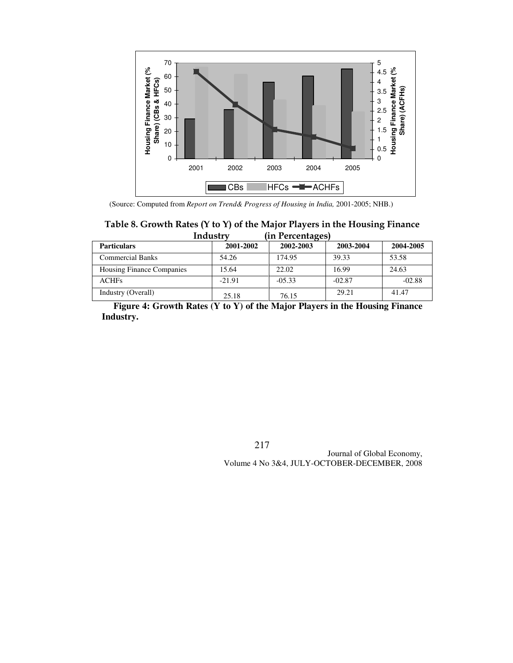

(Source: Computed from *Report on Trend& Progress of Housing in India,* 2001-2005; NHB.)

### Table 8. Growth Rates (Y to Y) of the Major Players in the Housing Finance<br>Industry (in Percentages) (in Percentages)

| <b>Particulars</b>               | 2001-2002 | 2002-2003 | 2003-2004 | 2004-2005 |
|----------------------------------|-----------|-----------|-----------|-----------|
| <b>Commercial Banks</b>          | 54.26     | 174.95    | 39.33     | 53.58     |
| <b>Housing Finance Companies</b> | 15.64     | 22.02     | 16.99     | 24.63     |
| <b>ACHFs</b>                     | $-21.91$  | $-05.33$  | $-02.87$  | $-02.88$  |
| Industry (Overall)               | 25.18     | 76.15     | 29.21     | 41.47     |

 **Figure 4: Growth Rates (Y to Y) of the Major Players in the Housing Finance Industry.** 

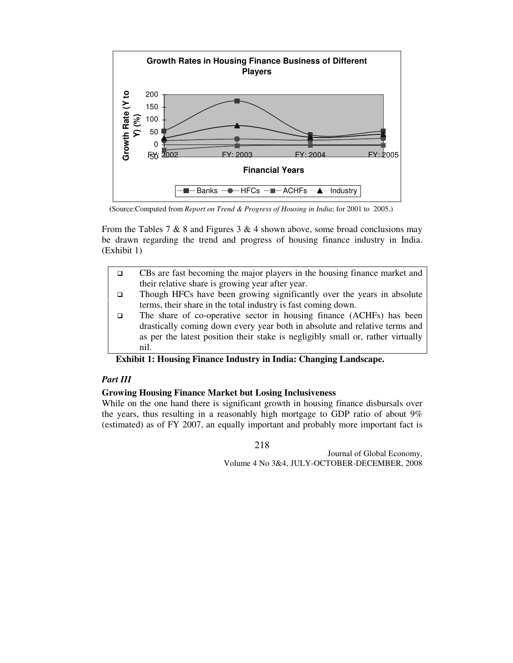

**(**Source:Computed from *Report on Trend & Progress of Housing in India*; for 2001 to 2005.)

From the Tables 7 & 8 and Figures 3 & 4 shown above, some broad conclusions may be drawn regarding the trend and progress of housing finance industry in India. (Exhibit 1)

- $\Box$  CBs are fast becoming the major players in the housing finance market and their relative share is growing year after year.
- $\Box$  Though HFCs have been growing significantly over the years in absolute terms, their share in the total industry is fast coming down.
- $\Box$  The share of co-operative sector in housing finance (ACHFs) has been drastically coming down every year both in absolute and relative terms and as per the latest position their stake is negligibly small or, rather virtually nil.

# **Exhibit 1: Housing Finance Industry in India: Changing Landscape.**

# *Part III*

### **Growing Housing Finance Market but Losing Inclusiveness**

While on the one hand there is significant growth in housing finance disbursals over the years, thus resulting in a reasonably high mortgage to GDP ratio of about 9% (estimated) as of FY 2007, an equally important and probably more important fact is

218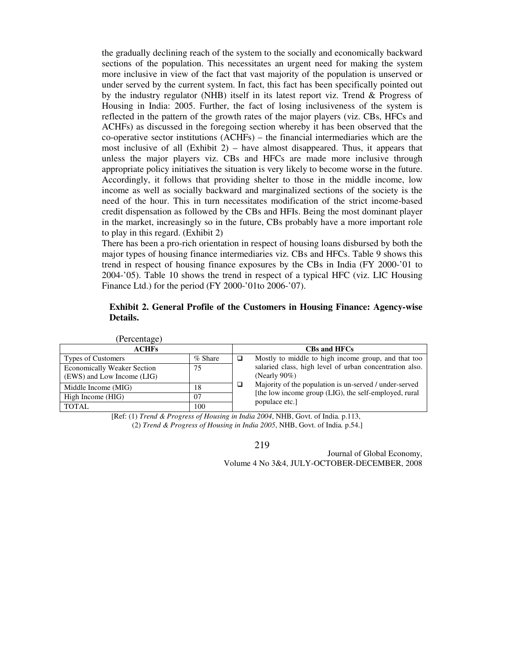the gradually declining reach of the system to the socially and economically backward sections of the population. This necessitates an urgent need for making the system more inclusive in view of the fact that vast majority of the population is unserved or under served by the current system. In fact, this fact has been specifically pointed out by the industry regulator (NHB) itself in its latest report viz. Trend & Progress of Housing in India: 2005. Further, the fact of losing inclusiveness of the system is reflected in the pattern of the growth rates of the major players (viz. CBs, HFCs and ACHFs) as discussed in the foregoing section whereby it has been observed that the co-operative sector institutions (ACHFs) – the financial intermediaries which are the most inclusive of all  $(Exhibit 2)$  – have almost disappeared. Thus, it appears that unless the major players viz. CBs and HFCs are made more inclusive through appropriate policy initiatives the situation is very likely to become worse in the future. Accordingly, it follows that providing shelter to those in the middle income, low income as well as socially backward and marginalized sections of the society is the need of the hour. This in turn necessitates modification of the strict income-based credit dispensation as followed by the CBs and HFIs. Being the most dominant player in the market, increasingly so in the future, CBs probably have a more important role to play in this regard. (Exhibit 2)

There has been a pro-rich orientation in respect of housing loans disbursed by both the major types of housing finance intermediaries viz. CBs and HFCs. Table 9 shows this trend in respect of housing finance exposures by the CBs in India (FY 2000-'01 to 2004-'05). Table 10 shows the trend in respect of a typical HFC (viz. LIC Housing Finance Ltd.) for the period (FY 2000-'01to 2006-'07).

### **Exhibit 2. General Profile of the Customers in Housing Finance: Agency-wise Details.**

| (Percentage)                       |           |   |                                                                         |
|------------------------------------|-----------|---|-------------------------------------------------------------------------|
| <b>ACHFs</b>                       |           |   | <b>CBs and HFCs</b>                                                     |
| <b>Types of Customers</b>          | $%$ Share | □ | Mostly to middle to high income group, and that too                     |
| <b>Economically Weaker Section</b> | 75        |   | salaried class, high level of urban concentration also.                 |
| (EWS) and Low Income (LIG)         |           |   | (Nearly $90\%$ )                                                        |
| Middle Income (MIG)                | 18        | □ | Majority of the population is un-served / under-served                  |
| High Income (HIG)                  | 07        |   | [the low income group (LIG), the self-employed, rural<br>populace etc.] |
| <b>TOTAL</b>                       | 100       |   |                                                                         |

 [Ref: (1) *Trend & Progress of Housing in India 2004*, NHB, Govt. of India*.* p.113, (2) *Trend & Progress of Housing in India 2005*, NHB, Govt. of India*.* p.54.]

219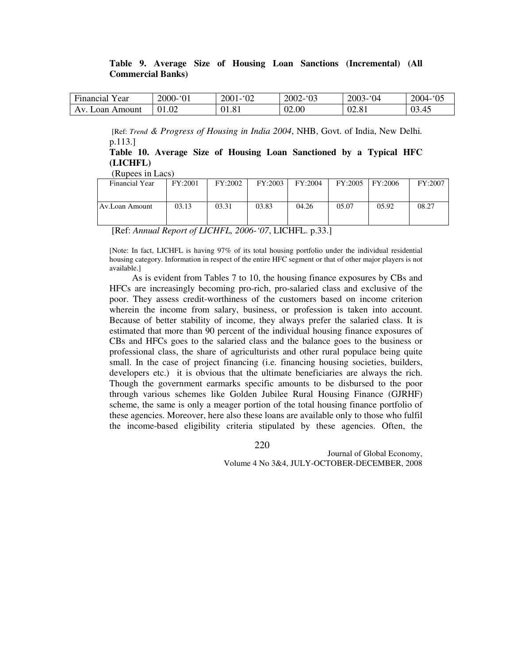### **Table 9. Average Size of Housing Loan Sanctions (Incremental) (All Commercial Banks)**

| $\overline{\phantom{a}}$<br>Financial<br>l ear | $\mathcal{L}$<br>2000<br>--<br>UΙ | 02<br>$200^{\circ}$ | 2002<br>03'<br>. | $^{\circ}04$<br>2003- | $\Omega$<br>2004-<br>v.          |
|------------------------------------------------|-----------------------------------|---------------------|------------------|-----------------------|----------------------------------|
| Amount<br>Av<br>Loan A                         | 01.02                             | 01.81               | 02.00<br>∩∩      | 02.81                 | $\sqrt{5}$<br>$\Omega$<br>VJ. TJ |

[Ref: *Trend & Progress of Housing in India 2004*, NHB, Govt. of India, New Delhi*.* p.113.]

**Table 10. Average Size of Housing Loan Sanctioned by a Typical HFC (LICHFL)** 

| (Rupees in Lacs) |  |
|------------------|--|
|                  |  |

| Financial Year | FY:2001 | FY:2002 | FY:2003 | FY:2004 | FY:2005 | FY:2006 | FY:2007 |
|----------------|---------|---------|---------|---------|---------|---------|---------|
| Av.Loan Amount | 03.13   | 03.31   | 03.83   | 04.26   | 05.07   | 05.92   | 08.27   |

[Ref: *Annual Report of LICHFL, 2006-'07*, LICHFL. p.33.]

[Note: In fact, LICHFL is having 97% of its total housing portfolio under the individual residential housing category. Information in respect of the entire HFC segment or that of other major players is not available.]

As is evident from Tables 7 to 10, the housing finance exposures by CBs and HFCs are increasingly becoming pro-rich, pro-salaried class and exclusive of the poor. They assess credit-worthiness of the customers based on income criterion wherein the income from salary, business, or profession is taken into account. Because of better stability of income, they always prefer the salaried class. It is estimated that more than 90 percent of the individual housing finance exposures of CBs and HFCs goes to the salaried class and the balance goes to the business or professional class, the share of agriculturists and other rural populace being quite small. In the case of project financing (i.e. financing housing societies, builders, developers etc.) it is obvious that the ultimate beneficiaries are always the rich. Though the government earmarks specific amounts to be disbursed to the poor through various schemes like Golden Jubilee Rural Housing Finance (GJRHF) scheme, the same is only a meager portion of the total housing finance portfolio of these agencies. Moreover, here also these loans are available only to those who fulfil the income-based eligibility criteria stipulated by these agencies. Often, the

220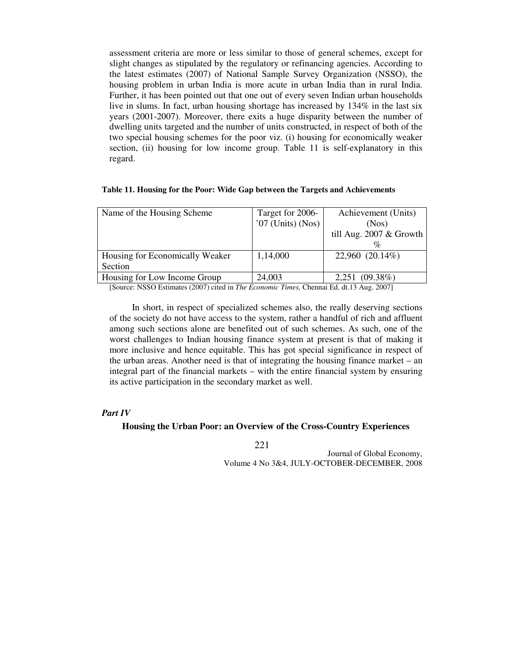assessment criteria are more or less similar to those of general schemes, except for slight changes as stipulated by the regulatory or refinancing agencies. According to the latest estimates (2007) of National Sample Survey Organization (NSSO), the housing problem in urban India is more acute in urban India than in rural India. Further, it has been pointed out that one out of every seven Indian urban households live in slums. In fact, urban housing shortage has increased by 134% in the last six years (2001-2007). Moreover, there exits a huge disparity between the number of dwelling units targeted and the number of units constructed, in respect of both of the two special housing schemes for the poor viz. (i) housing for economically weaker section, (ii) housing for low income group. Table 11 is self-explanatory in this regard.

#### **Table 11. Housing for the Poor: Wide Gap between the Targets and Achievements**

| Name of the Housing Scheme      | Target for 2006-    | Achievement (Units)        |
|---------------------------------|---------------------|----------------------------|
|                                 | $'07$ (Units) (Nos) | (Nos)                      |
|                                 |                     | till Aug. $2007 \&$ Growth |
|                                 |                     |                            |
| Housing for Economically Weaker | 1,14,000            | 22,960 (20.14%)            |
| Section                         |                     |                            |
| Housing for Low Income Group    | 24,003              | 2,251 (09.38%)             |

[Source: NSSO Estimates (2007) cited in *The Economic Times,* Chennai Ed. dt.13 Aug. 2007]

In short, in respect of specialized schemes also, the really deserving sections of the society do not have access to the system, rather a handful of rich and affluent among such sections alone are benefited out of such schemes. As such, one of the worst challenges to Indian housing finance system at present is that of making it more inclusive and hence equitable. This has got special significance in respect of the urban areas. Another need is that of integrating the housing finance market – an integral part of the financial markets – with the entire financial system by ensuring its active participation in the secondary market as well.

### *Part IV*

#### **Housing the Urban Poor: an Overview of the Cross-Country Experiences**

221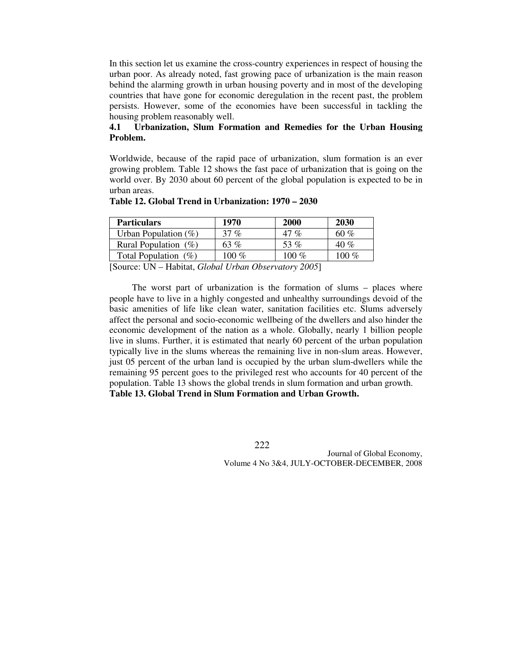In this section let us examine the cross-country experiences in respect of housing the urban poor. As already noted, fast growing pace of urbanization is the main reason behind the alarming growth in urban housing poverty and in most of the developing countries that have gone for economic deregulation in the recent past, the problem persists. However, some of the economies have been successful in tackling the housing problem reasonably well.

# **4.1 Urbanization, Slum Formation and Remedies for the Urban Housing Problem.**

Worldwide, because of the rapid pace of urbanization, slum formation is an ever growing problem. Table 12 shows the fast pace of urbanization that is going on the world over. By 2030 about 60 percent of the global population is expected to be in urban areas.

| <b>Particulars</b>                                                                                                                                                   | 1970    | 2000            | <b>2030</b> |
|----------------------------------------------------------------------------------------------------------------------------------------------------------------------|---------|-----------------|-------------|
| Urban Population $(\%)$                                                                                                                                              | 37 %    | $\mathcal{O}_C$ | 60 %        |
| Rural Population $(\%)$                                                                                                                                              | 63 %    | 53 %            | 40 %        |
| Total Population $(\%)$                                                                                                                                              | 100 $%$ | 100 $\%$        | $00\%$      |
| r Q<br><b>TTAT</b><br>$\mathbf{r}$ $\mathbf{r}$ $\mathbf{r}$ $\mathbf{r}$ $\mathbf{r}$ $\mathbf{r}$ $\mathbf{r}$ $\mathbf{r}$ $\mathbf{r}$ $\mathbf{r}$ $\mathbf{r}$ | $\sim$  | 2002            |             |

### **Table 12. Global Trend in Urbanization: 1970 – 2030**

[Source: UN – Habitat, *Global Urban Observatory 2005*]

 The worst part of urbanization is the formation of slums – places where people have to live in a highly congested and unhealthy surroundings devoid of the basic amenities of life like clean water, sanitation facilities etc. Slums adversely affect the personal and socio-economic wellbeing of the dwellers and also hinder the economic development of the nation as a whole. Globally, nearly 1 billion people live in slums. Further, it is estimated that nearly 60 percent of the urban population typically live in the slums whereas the remaining live in non-slum areas. However, just 05 percent of the urban land is occupied by the urban slum-dwellers while the remaining 95 percent goes to the privileged rest who accounts for 40 percent of the population. Table 13 shows the global trends in slum formation and urban growth. **Table 13. Global Trend in Slum Formation and Urban Growth.**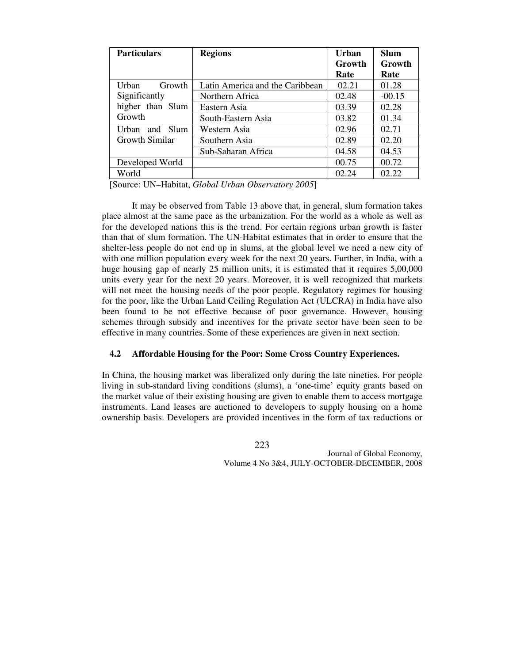| <b>Particulars</b>    | <b>Regions</b>                  | Urban  | <b>Slum</b> |
|-----------------------|---------------------------------|--------|-------------|
|                       |                                 | Growth | Growth      |
|                       |                                 | Rate   | Rate        |
| Urban<br>Growth       | Latin America and the Caribbean | 02.21  | 01.28       |
| Significantly         | Northern Africa                 | 02.48  | $-00.15$    |
| higher than Slum      | Eastern Asia                    | 03.39  | 02.28       |
| Growth                | South-Eastern Asia              | 03.82  | 01.34       |
| Urban and Slum        | Western Asia                    | 02.96  | 02.71       |
| <b>Growth Similar</b> | Southern Asia                   | 02.89  | 02.20       |
|                       | Sub-Saharan Africa              | 04.58  | 04.53       |
| Developed World       |                                 | 00.75  | 00.72       |
| World                 |                                 | 02.24  | 02.22       |

[Source: UN–Habitat, *Global Urban Observatory 2005*]

 It may be observed from Table 13 above that, in general, slum formation takes place almost at the same pace as the urbanization. For the world as a whole as well as for the developed nations this is the trend. For certain regions urban growth is faster than that of slum formation. The UN-Habitat estimates that in order to ensure that the shelter-less people do not end up in slums, at the global level we need a new city of with one million population every week for the next 20 years. Further, in India, with a huge housing gap of nearly 25 million units, it is estimated that it requires 5,00,000 units every year for the next 20 years. Moreover, it is well recognized that markets will not meet the housing needs of the poor people. Regulatory regimes for housing for the poor, like the Urban Land Ceiling Regulation Act (ULCRA) in India have also been found to be not effective because of poor governance. However, housing schemes through subsidy and incentives for the private sector have been seen to be effective in many countries. Some of these experiences are given in next section.

## **4.2 Affordable Housing for the Poor: Some Cross Country Experiences.**

In China, the housing market was liberalized only during the late nineties. For people living in sub-standard living conditions (slums), a 'one-time' equity grants based on the market value of their existing housing are given to enable them to access mortgage instruments. Land leases are auctioned to developers to supply housing on a home ownership basis. Developers are provided incentives in the form of tax reductions or

223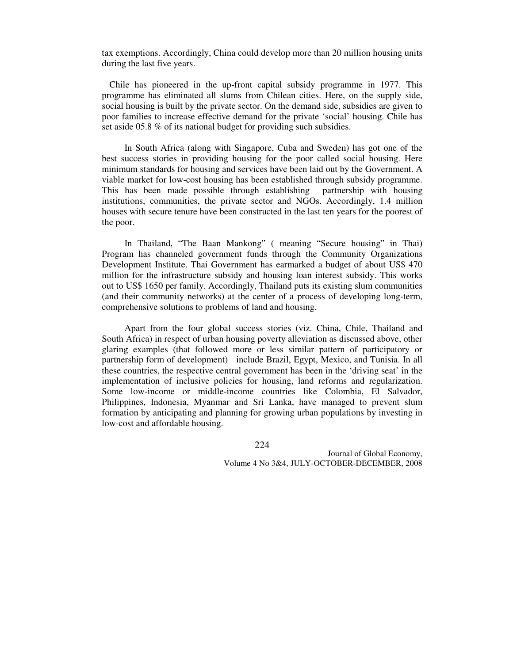tax exemptions. Accordingly, China could develop more than 20 million housing units during the last five years.

Chile has pioneered in the up-front capital subsidy programme in 1977. This programme has eliminated all slums from Chilean cities. Here, on the supply side, social housing is built by the private sector. On the demand side, subsidies are given to poor families to increase effective demand for the private 'social' housing. Chile has set aside 05.8 % of its national budget for providing such subsidies.

In South Africa (along with Singapore, Cuba and Sweden) has got one of the best success stories in providing housing for the poor called social housing. Here minimum standards for housing and services have been laid out by the Government. A viable market for low-cost housing has been established through subsidy programme. This has been made possible through establishing partnership with housing institutions, communities, the private sector and NGOs. Accordingly, 1.4 million houses with secure tenure have been constructed in the last ten years for the poorest of the poor.

In Thailand, "The Baan Mankong" ( meaning "Secure housing" in Thai) Program has channeled government funds through the Community Organizations Development Institute. Thai Government has earmarked a budget of about US\$ 470 million for the infrastructure subsidy and housing loan interest subsidy. This works out to US\$ 1650 per family. Accordingly, Thailand puts its existing slum communities (and their community networks) at the center of a process of developing long-term, comprehensive solutions to problems of land and housing.

Apart from the four global success stories (viz. China, Chile, Thailand and South Africa) in respect of urban housing poverty alleviation as discussed above, other glaring examples (that followed more or less similar pattern of participatory or partnership form of development) include Brazil, Egypt, Mexico, and Tunisia. In all these countries, the respective central government has been in the 'driving seat' in the implementation of inclusive policies for housing, land reforms and regularization. Some low-income or middle-income countries like Colombia, El Salvador, Philippines, Indonesia, Myanmar and Sri Lanka, have managed to prevent slum formation by anticipating and planning for growing urban populations by investing in low-cost and affordable housing.

224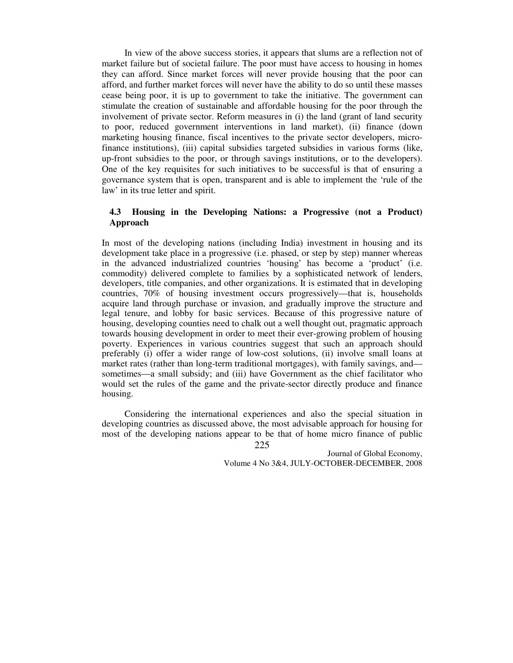In view of the above success stories, it appears that slums are a reflection not of market failure but of societal failure. The poor must have access to housing in homes they can afford. Since market forces will never provide housing that the poor can afford, and further market forces will never have the ability to do so until these masses cease being poor, it is up to government to take the initiative. The government can stimulate the creation of sustainable and affordable housing for the poor through the involvement of private sector. Reform measures in (i) the land (grant of land security to poor, reduced government interventions in land market), (ii) finance (down marketing housing finance, fiscal incentives to the private sector developers, microfinance institutions), (iii) capital subsidies targeted subsidies in various forms (like, up-front subsidies to the poor, or through savings institutions, or to the developers). One of the key requisites for such initiatives to be successful is that of ensuring a governance system that is open, transparent and is able to implement the 'rule of the law' in its true letter and spirit.

# **4.3 Housing in the Developing Nations: a Progressive (not a Product) Approach**

In most of the developing nations (including India) investment in housing and its development take place in a progressive (i.e. phased, or step by step) manner whereas in the advanced industrialized countries 'housing' has become a 'product' (i.e. commodity) delivered complete to families by a sophisticated network of lenders, developers, title companies, and other organizations. It is estimated that in developing countries, 70% of housing investment occurs progressively—that is, households acquire land through purchase or invasion, and gradually improve the structure and legal tenure, and lobby for basic services. Because of this progressive nature of housing, developing counties need to chalk out a well thought out, pragmatic approach towards housing development in order to meet their ever-growing problem of housing poverty. Experiences in various countries suggest that such an approach should preferably (i) offer a wider range of low-cost solutions, (ii) involve small loans at market rates (rather than long-term traditional mortgages), with family savings, and sometimes—a small subsidy; and (iii) have Government as the chief facilitator who would set the rules of the game and the private-sector directly produce and finance housing.

225 Considering the international experiences and also the special situation in developing countries as discussed above, the most advisable approach for housing for most of the developing nations appear to be that of home micro finance of public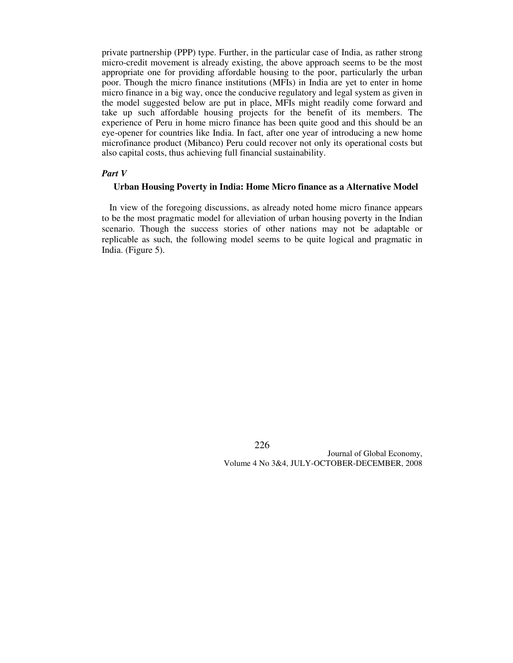private partnership (PPP) type. Further, in the particular case of India, as rather strong micro-credit movement is already existing, the above approach seems to be the most appropriate one for providing affordable housing to the poor, particularly the urban poor. Though the micro finance institutions (MFIs) in India are yet to enter in home micro finance in a big way, once the conducive regulatory and legal system as given in the model suggested below are put in place, MFIs might readily come forward and take up such affordable housing projects for the benefit of its members. The experience of Peru in home micro finance has been quite good and this should be an eye-opener for countries like India. In fact, after one year of introducing a new home microfinance product (Mibanco) Peru could recover not only its operational costs but also capital costs, thus achieving full financial sustainability.

#### *Part V*

# **Urban Housing Poverty in India: Home Micro finance as a Alternative Model**

In view of the foregoing discussions, as already noted home micro finance appears to be the most pragmatic model for alleviation of urban housing poverty in the Indian scenario. Though the success stories of other nations may not be adaptable or replicable as such, the following model seems to be quite logical and pragmatic in India. (Figure 5).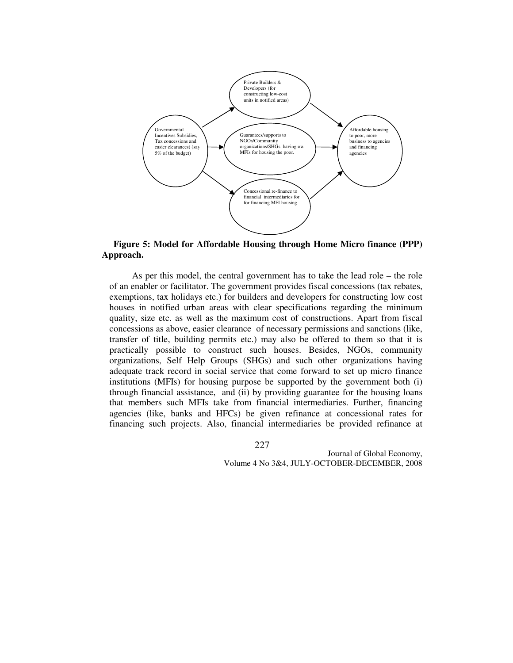

 **Figure 5: Model for Affordable Housing through Home Micro finance (PPP) Approach.** 

 As per this model, the central government has to take the lead role – the role of an enabler or facilitator. The government provides fiscal concessions (tax rebates, exemptions, tax holidays etc.) for builders and developers for constructing low cost houses in notified urban areas with clear specifications regarding the minimum quality, size etc. as well as the maximum cost of constructions. Apart from fiscal concessions as above, easier clearance of necessary permissions and sanctions (like, transfer of title, building permits etc.) may also be offered to them so that it is practically possible to construct such houses. Besides, NGOs, community organizations, Self Help Groups (SHGs) and such other organizations having adequate track record in social service that come forward to set up micro finance institutions (MFIs) for housing purpose be supported by the government both (i) through financial assistance, and (ii) by providing guarantee for the housing loans that members such MFIs take from financial intermediaries. Further, financing agencies (like, banks and HFCs) be given refinance at concessional rates for financing such projects. Also, financial intermediaries be provided refinance at

227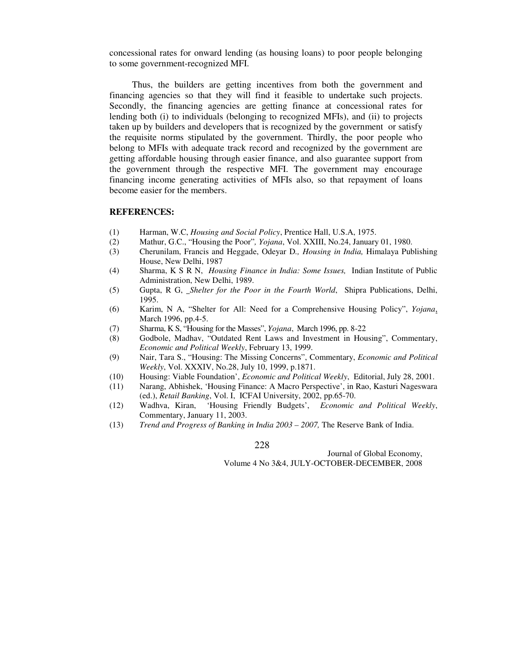concessional rates for onward lending (as housing loans) to poor people belonging to some government-recognized MFI.

 Thus, the builders are getting incentives from both the government and financing agencies so that they will find it feasible to undertake such projects. Secondly, the financing agencies are getting finance at concessional rates for lending both (i) to individuals (belonging to recognized MFIs), and (ii) to projects taken up by builders and developers that is recognized by the government or satisfy the requisite norms stipulated by the government. Thirdly, the poor people who belong to MFIs with adequate track record and recognized by the government are getting affordable housing through easier finance, and also guarantee support from the government through the respective MFI. The government may encourage financing income generating activities of MFIs also, so that repayment of loans become easier for the members.

### **REFERENCES:**

- (1) Harman, W.C, *Housing and Social Policy*, Prentice Hall, U.S.A, 1975.
- (2) Mathur, G.C., "Housing the Poor"*, Yojana*, Vol. XXIII, No.24, January 01, 1980.
- (3) Cherunilam, Francis and Heggade, Odeyar D*., Housing in India,* Himalaya Publishing House, New Delhi, 1987
- (4) Sharma, K S R N, *Housing Finance in India: Some Issues,* Indian Institute of Public Administration, New Delhi, 1989.
- (5) Gupta, R G, *Shelter for the Poor in the Fourth World*, Shipra Publications, Delhi, 1995.
- (6) Karim, N A, "Shelter for All: Need for a Comprehensive Housing Policy", *Yojana*, March 1996, pp.4-5.
- (7) Sharma, K S, "Housing for the Masses", *Yojana*, March 1996, pp. 8-22
- (8) Godbole, Madhav, "Outdated Rent Laws and Investment in Housing", Commentary, *Economic and Political Weekly*, February 13, 1999.
- (9) Nair, Tara S., "Housing: The Missing Concerns", Commentary, *Economic and Political Weekly*, Vol. XXXIV, No.28, July 10, 1999, p.1871.
- (10) Housing: Viable Foundation', *Economic and Political Weekly*, Editorial, July 28, 2001.
- (11) Narang, Abhishek, 'Housing Finance: A Macro Perspective', in Rao, Kasturi Nageswara (ed.), *Retail Banking*, Vol. I, ICFAI University, 2002, pp.65-70.
- (12) Wadhva, Kiran, 'Housing Friendly Budgets', *Economic and Political Weekly*, Commentary, January 11, 2003.
- (13) *Trend and Progress of Banking in India 2003 2007,* The Reserve Bank of India.

228